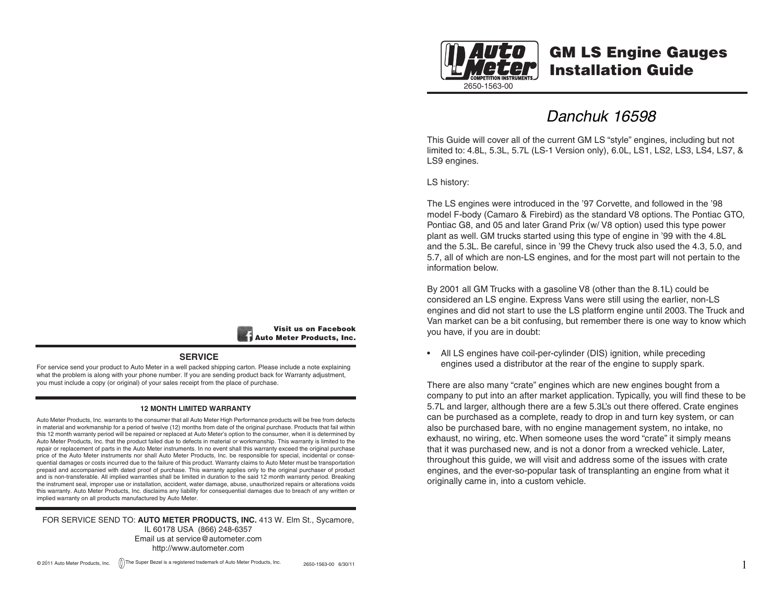

# GM LS Engine Gauges Installation Guide

*Danchuk 16598*

This Guide will cover all of the current GM LS "style" engines, including but not limited to: 4.8L, 5.3L, 5.7L (LS-1 Version only), 6.0L, LS1, LS2, LS3, LS4, LS7, & LS9 engines.

LS history:

The LS engines were introduced in the '97 Corvette, and followed in the '98 model F-body (Camaro & Firebird) as the standard V8 options. The Pontiac GTO, Pontiac G8, and 05 and later Grand Prix (w/ V8 option) used this type power plant as well. GM trucks started using this type of engine in '99 with the 4.8L and the 5.3L. Be careful, since in '99 the Chevy truck also used the 4.3, 5.0, and 5.7, all of which are non-LS engines, and for the most part will not pertain to the information below.

By 2001 all GM Trucks with a gasoline V8 (other than the 8.1L) could be considered an LS engine. Express Vans were still using the earlier, non-LS engines and did not start to use the LS platform engine until 2003. The Truck and Van market can be a bit confusing, but remember there is one way to know which you have, if you are in doubt:

• All LS engines have coil-per-cylinder (DIS) ignition, while preceding engines used a distributor at the rear of the engine to supply spark.

There are also many "crate" engines which are new engines bought from a company to put into an after market application. Typically, you will find these to be 5.7L and larger, although there are a few 5.3L's out there offered. Crate engines can be purchased as a complete, ready to drop in and turn key system, or can also be purchased bare, with no engine management system, no intake, no exhaust, no wiring, etc. When someone uses the word "crate" it simply means that it was purchased new, and is not a donor from a wrecked vehicle. Later, throughout this guide, we will visit and address some of the issues with crate engines, and the ever-so-popular task of transplanting an engine from what it originally came in, into a custom vehicle.



#### **SERVICE**

For service send your product to Auto Meter in a well packed shipping carton. Please include a note explaining what the problem is along with your phone number. If you are sending product back for Warranty adjustment. you must include a copy (or original) of your sales receipt from the place of purchase.

#### **12 MONTH LIMITED WARRANTY**

Auto Meter Products, Inc. warrants to the consumer that all Auto Meter High Performance products will be free from defects in material and workmanship for a period of twelve (12) months from date of the original purchase. Products that fail within this 12 month warranty period will be repaired or replaced at Auto Meter's option to the consumer, when it is determined by Auto Meter Products, Inc. that the product failed due to defects in material or workmanship. This warranty is limited to the repair or replacement of parts in the Auto Meter instruments. In no event shall this warranty exceed the original purchase price of the Auto Meter instruments nor shall Auto Meter Products, Inc. be responsible for special, incidental or consequential damages or costs incurred due to the failure of this product. Warranty claims to Auto Meter must be transportation prepaid and accompanied with dated proof of purchase. This warranty applies only to the original purchaser of product and is non-transferable. All implied warranties shall be limited in duration to the said 12 month warranty period. Breaking the instrument seal, improper use or installation, accident, water damage, abuse, unauthorized repairs or alterations voids this warranty. Auto Meter Products, Inc. disclaims any liability for consequential damages due to breach of any written or implied warranty on all products manufactured by Auto Meter.

FOR SERVICE SEND TO: **AUTO METER PRODUCTS, INC.** 413 W. Elm St., Sycamore, IL 60178 USA (866) 248-6357 Email us at service@autometer.com http://www.autometer.com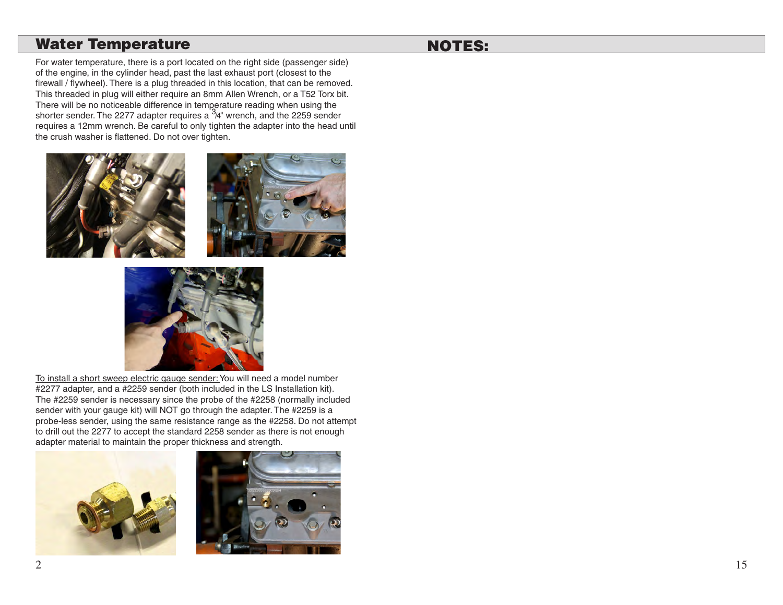## Water Temperature

# NOTES:

For water temperature, there is a port located on the right side (passenger side) of the engine, in the cylinder head, past the last exhaust port (closest to the firewall / flywheel). There is a plug threaded in this location, that can be removed. This threaded in plug will either require an 8mm Allen Wrench, or a T52 Torx bit. There will be no noticeable difference in temperature reading when using the<br>shorter sender. The 2277 adapter requires a <sup>3</sup>/4" wrench, and the 2259 sender requires a 12mm wrench. Be careful to only tighten the adapter into the head until the crush washer is flattened. Do not over tighten.





To install a short sweep electric gauge sender: You will need a model number #2277 adapter, and a #2259 sender (both included in the LS Installation kit). The #2259 sender is necessary since the probe of the #2258 (normally included sender with your gauge kit) will NOT go through the adapter. The #2259 is a probe-less sender, using the same resistance range as the #2258. Do not attempt to drill out the 2277 to accept the standard 2258 sender as there is not enough adapter material to maintain the proper thickness and strength.



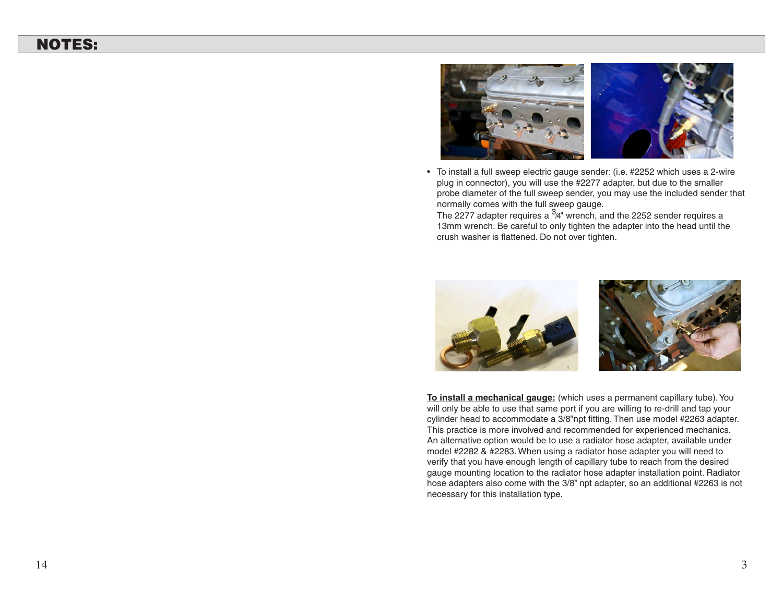# NOTES:



• To install a full sweep electric gauge sender: (i.e. #2252 which uses a 2-wire plug in connector), you will use the #2277 adapter, but due to the smaller probe diameter of the full sweep sender, you may use the included sender that normally comes with the full sweep gauge.

The 2277 adapter requires a  $3/4$ " wrench, and the 2252 sender requires a 13mm wrench. Be careful to only tighten the adapter into the head until the crush washer is flattened. Do not over tighten.



**To install a mechanical gauge:** (which uses a permanent capillary tube). You will only be able to use that same port if you are willing to re-drill and tap your cylinder head to accommodate a 3/8"npt fitting. Then use model #2263 adapter. This practice is more involved and recommended for experienced mechanics. An alternative option would be to use a radiator hose adapter, available under model #2282 & #2283. When using a radiator hose adapter you will need to verify that you have enough length of capillary tube to reach from the desired gauge mounting location to the radiator hose adapter installation point. Radiator hose adapters also come with the 3/8" npt adapter, so an additional #2263 is not necessary for this installation type.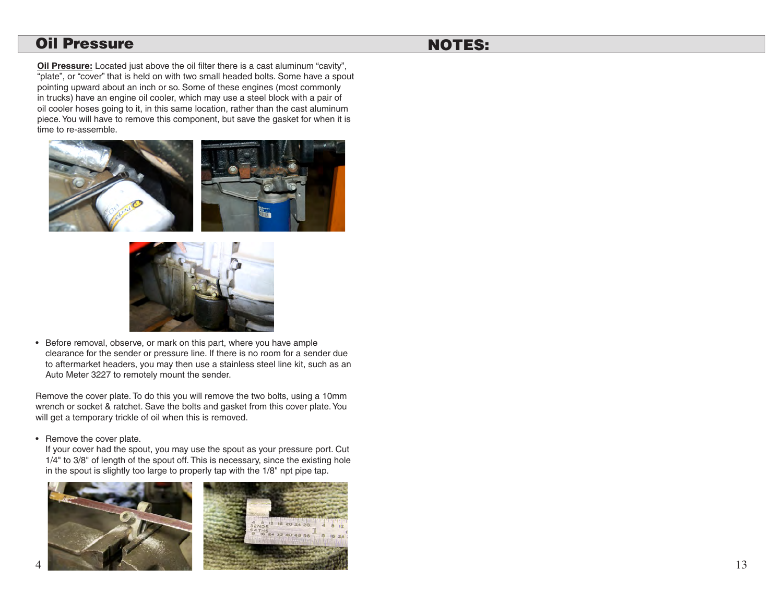### Oil Pressure

# NOTES:

**Oil Pressure:** Located just above the oil filter there is a cast aluminum "cavity", "plate", or "cover" that is held on with two small headed bolts. Some have a spout pointing upward about an inch or so. Some of these engines (most commonly in trucks) have an engine oil cooler, which may use a steel block with a pair of oil cooler hoses going to it, in this same location, rather than the cast aluminum piece. You will have to remove this component, but save the gasket for when it is time to re-assemble.





• Before removal, observe, or mark on this part, where you have ample clearance for the sender or pressure line. If there is no room for a sender due to aftermarket headers, you may then use a stainless steel line kit, such as an Auto Meter 3227 to remotely mount the sender.

Remove the cover plate. To do this you will remove the two bolts, using a 10mm wrench or socket & ratchet. Save the bolts and gasket from this cover plate. You will get a temporary trickle of oil when this is removed.

• Remove the cover plate.

 If your cover had the spout, you may use the spout as your pressure port. Cut 1/4" to 3/8" of length of the spout off. This is necessary, since the existing hole in the spout is slightly too large to properly tap with the 1/8" npt pipe tap.

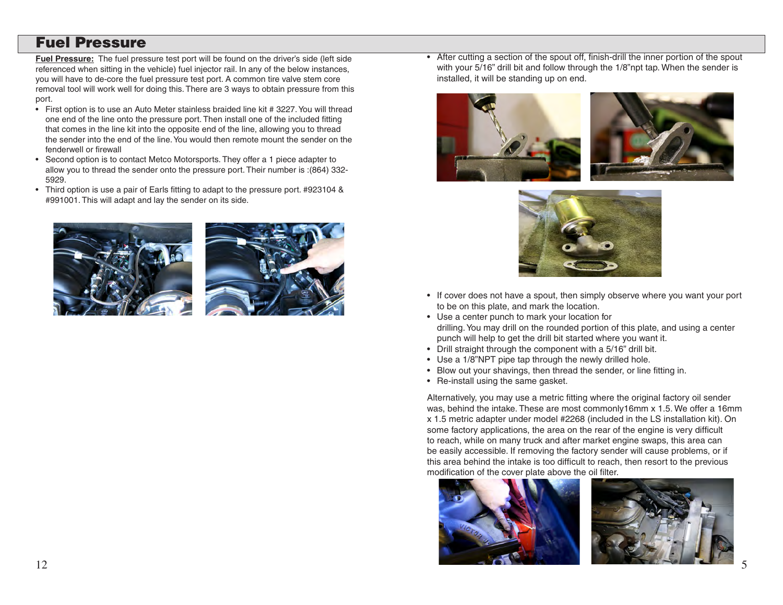## Fuel Pressure

**Fuel Pressure:** The fuel pressure test port will be found on the driver's side (left side referenced when sitting in the vehicle) fuel injector rail. In any of the below instances, you will have to de-core the fuel pressure test port. A common tire valve stem core removal tool will work well for doing this. There are 3 ways to obtain pressure from this port.

- First option is to use an Auto Meter stainless braided line kit # 3227. You will thread one end of the line onto the pressure port. Then install one of the included fitting that comes in the line kit into the opposite end of the line, allowing you to thread the sender into the end of the line. You would then remote mount the sender on the fenderwell or firewall
- Second option is to contact Metco Motorsports. They offer a 1 piece adapter to allow you to thread the sender onto the pressure port. Their number is :(864) 332- 5929.
- Third option is use a pair of Earls fitting to adapt to the pressure port. #923104 & #991001. This will adapt and lay the sender on its side.





• After cutting a section of the spout off, finish-drill the inner portion of the spout with your 5/16" drill bit and follow through the 1/8"npt tap. When the sender is installed, it will be standing up on end.





- If cover does not have a spout, then simply observe where you want your port to be on this plate, and mark the location.
- • Use a center punch to mark your location for drilling. You may drill on the rounded portion of this plate, and using a center punch will help to get the drill bit started where you want it.
- Drill straight through the component with a 5/16" drill bit.
- Use a 1/8"NPT pipe tap through the newly drilled hole.
- Blow out your shavings, then thread the sender, or line fitting in.
- Re-install using the same gasket.

Alternatively, you may use a metric fitting where the original factory oil sender was, behind the intake. These are most commonly16mm x 1.5. We offer a 16mm x 1.5 metric adapter under model #2268 (included in the LS installation kit). On some factory applications, the area on the rear of the engine is very difficult to reach, while on many truck and after market engine swaps, this area can be easily accessible. If removing the factory sender will cause problems, or if this area behind the intake is too difficult to reach, then resort to the previous modification of the cover plate above the oil filter.



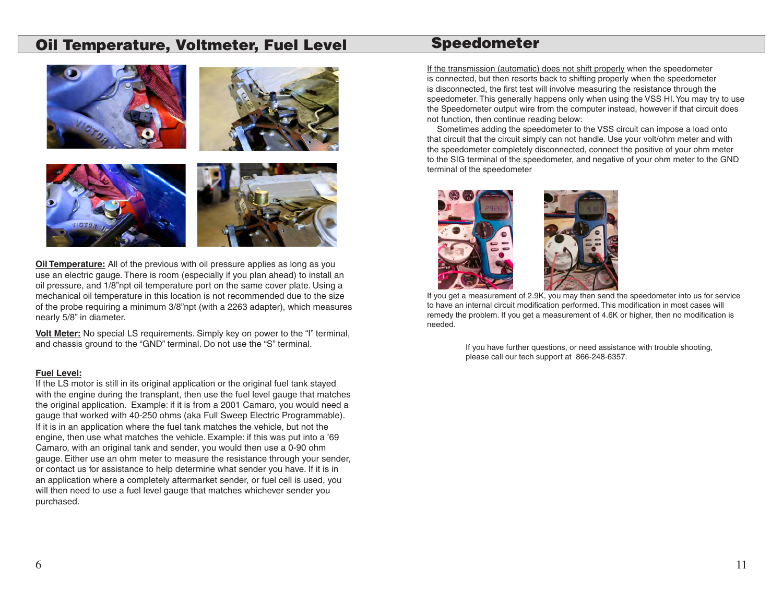## Oil Temperature, Voltmeter, Fuel Level



**Oil Temperature:** All of the previous with oil pressure applies as long as you use an electric gauge. There is room (especially if you plan ahead) to install an oil pressure, and 1/8"npt oil temperature port on the same cover plate. Using a mechanical oil temperature in this location is not recommended due to the size of the probe requiring a minimum 3/8"npt (with a 2263 adapter), which measures nearly 5/8" in diameter.

**Volt Meter:** No special LS requirements. Simply key on power to the "I" terminal, and chassis ground to the "GND" terminal. Do not use the "S" terminal.

#### **Fuel Level:**

If the LS motor is still in its original application or the original fuel tank stayed with the engine during the transplant, then use the fuel level gauge that matches the original application. Example: if it is from a 2001 Camaro, you would need a gauge that worked with 40-250 ohms (aka Full Sweep Electric Programmable). If it is in an application where the fuel tank matches the vehicle, but not the engine, then use what matches the vehicle. Example: if this was put into a '69 Camaro, with an original tank and sender, you would then use a 0-90 ohm gauge. Either use an ohm meter to measure the resistance through your sender, or contact us for assistance to help determine what sender you have. If it is in an application where a completely aftermarket sender, or fuel cell is used, you will then need to use a fuel level gauge that matches whichever sender you purchased.

## Speedometer

If the transmission (automatic) does not shift properly when the speedometer is connected, but then resorts back to shifting properly when the speedometer is disconnected, the first test will involve measuring the resistance through the speedometer. This generally happens only when using the VSS HI.You may try to use the Speedometer output wire from the computer instead, however if that circuit does not function, then continue reading below:

Sometimes adding the speedometer to the VSS circuit can impose a load onto that circuit that the circuit simply can not handle. Use your volt/ohm meter and with the speedometer completely disconnected, connect the positive of your ohm meter to the SIG terminal of the speedometer, and negative of your ohm meter to the GND terminal of the speedometer



If you get a measurement of 2.9K, you may then send the speedometer into us for service to have an internal circuit modification performed. This modification in most cases will remedy the problem. If you get a measurement of 4.6K or higher, then no modification is needed.

> If you have further questions, or need assistance with trouble shooting, please call our tech support at 866-248-6357.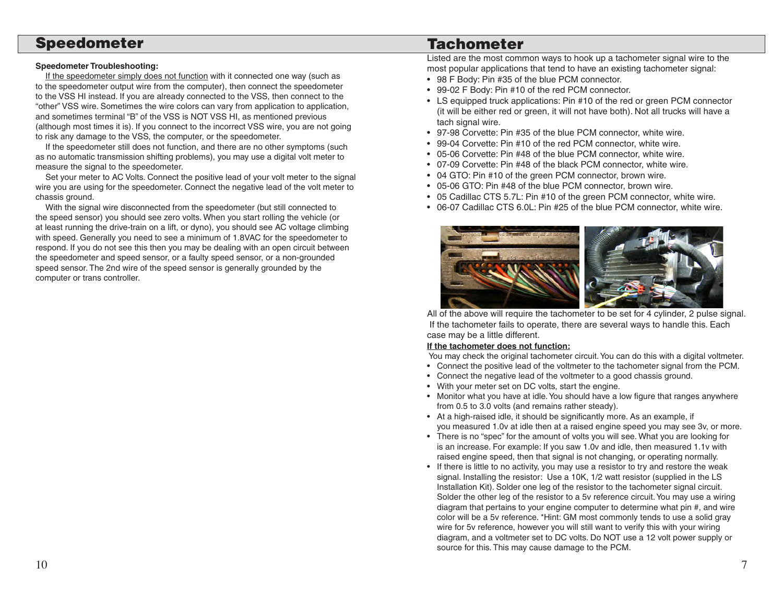### Speedometer

### **Speedometer Troubleshooting:**

If the speedometer simply does not function with it connected one way (such as to the speedometer output wire from the computer), then connect the speedometer to the VSS HI instead. If you are already connected to the VSS, then connect to the "other" VSS wire. Sometimes the wire colors can vary from application to application, and sometimes terminal "B" of the VSS is NOT VSS HI, as mentioned previous (although most times it is). If you connect to the incorrect VSS wire, you are not going to risk any damage to the VSS, the computer, or the speedometer.

 If the speedometer still does not function, and there are no other symptoms (such as no automatic transmission shifting problems), you may use a digital volt meter to measure the signal to the speedometer.

 Set your meter to AC Volts. Connect the positive lead of your volt meter to the signal wire you are using for the speedometer. Connect the negative lead of the volt meter to chassis ground.

With the signal wire disconnected from the speedometer (but still connected to the speed sensor) you should see zero volts. When you start rolling the vehicle (or at least running the drive-train on a lift, or dyno), you should see AC voltage climbing with speed. Generally you need to see a minimum of 1.8VAC for the speedometer to respond. If you do not see this then you may be dealing with an open circuit between the speedometer and speed sensor, or a faulty speed sensor, or a non-grounded speed sensor. The 2nd wire of the speed sensor is generally grounded by the computer or trans controller.

# **Tachometer**

Listed are the most common ways to hook up a tachometer signal wire to the most popular applications that tend to have an existing tachometer signal:

- 98 F Body: Pin #35 of the blue PCM connector.
- 99-02 F Body: Pin #10 of the red PCM connector.
- LS equipped truck applications: Pin #10 of the red or green PCM connector (it will be either red or green, it will not have both). Not all trucks will have a tach signal wire.
- 97-98 Corvette: Pin #35 of the blue PCM connector, white wire.
- 99-04 Corvette: Pin #10 of the red PCM connector, white wire.
- 05-06 Corvette: Pin #48 of the blue PCM connector, white wire.
- 07-09 Corvette: Pin #48 of the black PCM connector, white wire.
- 04 GTO: Pin #10 of the green PCM connector, brown wire.
- 05-06 GTO: Pin #48 of the blue PCM connector, brown wire.
- • 05 Cadillac CTS 5.7L: Pin #10 of the green PCM connector, white wire.
- 06-07 Cadillac CTS 6.0L: Pin #25 of the blue PCM connector, white wire.



All of the above will require the tachometer to be set for 4 cylinder, 2 pulse signal. If the tachometer fails to operate, there are several ways to handle this. Each case may be a little different.

### **If the tachometer does not function:**

You may check the original tachometer circuit. You can do this with a digital voltmeter.

- • Connect the positive lead of the voltmeter to the tachometer signal from the PCM.
- Connect the negative lead of the voltmeter to a good chassis ground.
- With your meter set on DC volts, start the engine.
- Monitor what you have at idle. You should have a low figure that ranges anywhere from 0.5 to 3.0 volts (and remains rather steady).
- At a high-raised idle, it should be significantly more. As an example, if you measured 1.0v at idle then at a raised engine speed you may see 3v, or more.
- There is no "spec" for the amount of volts you will see. What you are looking for is an increase. For example: If you saw 1.0v and idle, then measured 1.1v with raised engine speed, then that signal is not changing, or operating normally.
- If there is little to no activity, you may use a resistor to try and restore the weak signal. Installing the resistor: Use a 10K, 1/2 watt resistor (supplied in the LS Installation Kit). Solder one leg of the resistor to the tachometer signal circuit. Solder the other leg of the resistor to a 5v reference circuit. You may use a wiring diagram that pertains to your engine computer to determine what pin #, and wire color will be a 5v reference. \*Hint: GM most commonly tends to use a solid gray wire for 5v reference, however you will still want to verify this with your wiring diagram, and a voltmeter set to DC volts. Do NOT use a 12 volt power supply or source for this. This may cause damage to the PCM.